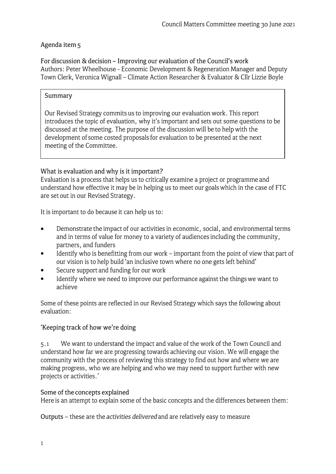# Agenda item s

For discussion & decision - Improving our evaluation of the Council's work Authors: Peter Wheelhouse - Economic Development & Regeneration Manager and Deputy Town Clerk, Veronica Wignall - Climate Action Researcher & Evaluator & Cllr Lizzie Boyle

### Summary

Our Revised Strategy commits us to improving our evaluation work. This report introduces the topic of evaluation, why it's important and sets out some questions to be discussed at the meeting. The purpose of the discussion will be to help with the development of some costed proposals for evaluation to be presented at the next meeting of the Committee.

### What is evaluation and why is it important?

Evaluation is a process that helps us to critically examine a project or programme and understand how effective it may be in helping us to meet our goals which in the case of FTC are set out in our Revised Strategy.

It is important to do because it can help us to:

- Demonstrate the impact of our activities in economic, social, and environmental terms and in terms of value for money to a variety of audiences including the community, partners, and funders •
- Identify who is benefitting from our work important from the point of view that part of our vision is to help build 'an inclusive town where no one gets left behind' •
- Secure support and funding for our work •
- Identify where we need to improve our performance against the things we want to achieve •

Some of these points are reflected in our Revised Strategy which says the following about evaluation:

# 'Keeping track of how we're doing

5 .1 We want to understand the impact and value of the work of the Town Council and understand how far we are progressing towards achieving our vision. We will engage the community with the process of reviewing this strategy to find out how and where we are making progress, who we are helping and who we may need to support further with new projects or activities.'

#### Some of the concepts explained

Here is an attempt to explain some of the basic concepts and the differences between them:

Outputs - these are the *activities delivered* and are relatively easy to measure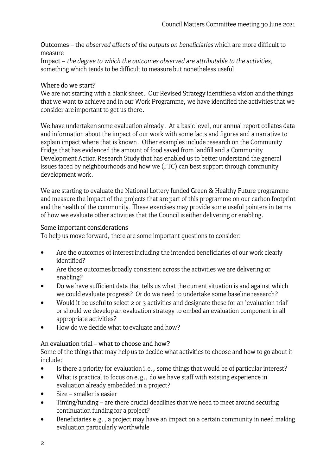Outcomes - the *observed effects of the outputs on beneficiaries* which are more difficult to measure

Impact - *the degree to which the outcomes observed are attributable to the activities,*  something which tends to be difficult to measure but nonetheless useful

### Where do we start?

We are not starting with a blank sheet. Our Revised Strategy identifies a vision and the things that we want to achieve and in our Work Programme, we have identified the activities that we consider are important to get us there.

We have undertaken some evaluation already. At a basic level, our annual report collates data and information about the impact of our work with some facts and figures and a narrative to explain impact where that is known. Other examples include research on the Community Fridge that has evidenced the amount of food saved from landfill and a Community Development Action Research Study that has enabled us to better understand the general issues faced by neighbourhoods and how we (FTC) can best support through community development work.

We are starting to evaluate the National Lottery funded Green & Healthy Future programme and measure the impact of the projects that are part of this programme on our carbon footprint and the health of the community. These exercises may provide some useful pointers in terms of how we evaluate other activities that the Council is either delivering or enabling.

### Some important considerations

To help us move forward, there are some important questions to consider:

- Are the outcomes of interest including the intended beneficiaries of our work clearly identified? •
- Are those outcomes broadly consistent across the activities we are delivering or enabling? •
- Do we have sufficient data that tells us what the current situation is and against which we could evaluate progress? Or do we need to undertake some baseline research? •
- Would it be useful to select 2 or 3 activities and designate these for an 'evaluation trial' or should we develop an evaluation strategy to embed an evaluation component in all appropriate activities? •
- How do we decide what to evaluate and how? •

# An evaluation trial - what to choose and how?

Some of the things that may help us to decide what activities to choose and how to go about it include:

- Is there a priority for evaluation i.e., some things that would be of particular interest? •
- What is practical to focus on e.g., do we have staff with existing experience in evaluation already embedded in a project? •
- Size smaller is easier •
- Timing/funding are there crucial deadlines that we need to meet around securing continuation funding for a project? •
- Beneficiaries e.g., a project may have an impact on a certain community in need making evaluation particularly worthwhile •